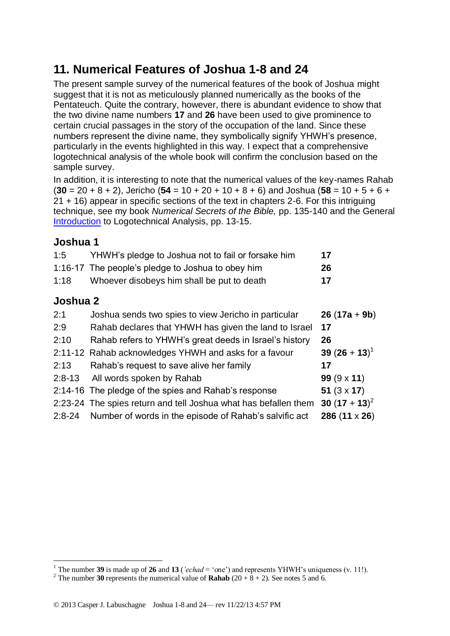# **11. Numerical Features of Joshua 1-8 and 24**

The present sample survey of the numerical features of the book of Joshua might suggest that it is not as meticulously planned numerically as the books of the Pentateuch. Quite the contrary, however, there is abundant evidence to show that the two divine name numbers **17** and **26** have been used to give prominence to certain crucial passages in the story of the occupation of the land. Since these numbers represent the divine name, they symbolically signify YHWH's presence, particularly in the events highlighted in this way. I expect that a comprehensive logotechnical analysis of the whole book will confirm the conclusion based on the sample survey.

In addition, it is interesting to note that the numerical values of the key-names Rahab (**30** = 20 + 8 + 2), Jericho (**54** = 10 + 20 + 10 + 8 + 6) and Joshua (**58** = 10 + 5 + 6 + 21 + 16) appear in specific sections of the text in chapters 2-6. For this intriguing technique, see my book *Numerical Secrets of the Bible,* pp. 135-140 and the General [Introduction](http://www.labuschagne.nl/aspects.pdf) to Logotechnical Analysis, pp. 13-15.

## **Joshua 1**

| 1:5            | YHWH's pledge to Joshua not to fail or forsake him | 17 |  |
|----------------|----------------------------------------------------|----|--|
|                | 1:16-17 The people's pledge to Joshua to obey him  | 26 |  |
| 1:18           | Whoever disobeys him shall be put to death         | 17 |  |
| $\blacksquare$ |                                                    |    |  |

### **Joshua 2**

<u>.</u>

| 2:1        | Joshua sends two spies to view Jericho in particular            | $26(17a + 9b)$     |
|------------|-----------------------------------------------------------------|--------------------|
| 2:9        | Rahab declares that YHWH has given the land to Israel           | 17                 |
| 2:10       | Rahab refers to YHWH's great deeds in Israel's history          | 26                 |
|            | 2:11-12 Rahab acknowledges YHWH and asks for a favour           | 39 $(26 + 13)^{1}$ |
| 2:13       | Rahab's request to save alive her family                        | 17                 |
| $2:8-13$   | All words spoken by Rahab                                       | $99(9 \times 11)$  |
|            | 2:14-16 The pledge of the spies and Rahab's response            | 51 $(3 \times 17)$ |
|            | 2:23-24 The spies return and tell Joshua what has befallen them | 30 $(17 + 13)^2$   |
| $2:8 - 24$ | Number of words in the episode of Rahab's salvific act          | 286 (11 x 26)      |
|            |                                                                 |                    |

<sup>&</sup>lt;sup>1</sup> The number 39 is made up of 26 and 13 (*'echad* = 'one') and represents YHWH's uniqueness (v. 11!).

<sup>&</sup>lt;sup>2</sup> The number **30** represents the numerical value of **Rahab**  $(20 + 8 + 2)$ . See notes 5 and 6.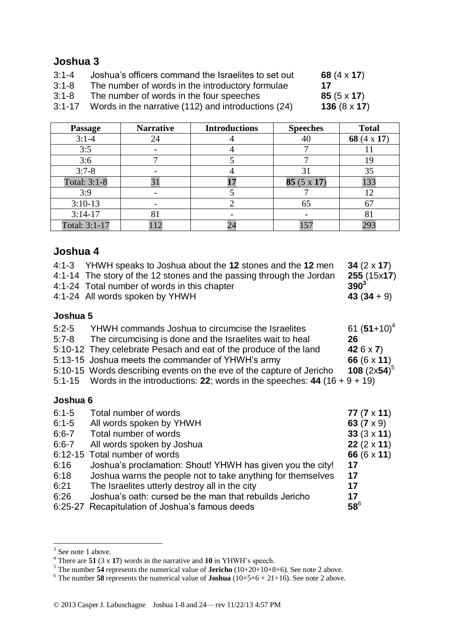# **Joshua 3**

| Joshua's officers command the Israelites to set out<br>$3:1 - 4$ | 68 $(4 \times 17)$ |
|------------------------------------------------------------------|--------------------|
|------------------------------------------------------------------|--------------------|

- 3:1-8 The number of words in the introductory formulae **17**
- 3:1-8 The number of words in the four speeches **85** (5 x **17**)
- 3:1-17 Words in the narrative (112) and introductions (24) **136** (8 x **17**)

| <b>Passage</b> | <b>Narrative</b> | <b>Introductions</b> | <b>Speeches</b>   | <b>Total</b> |
|----------------|------------------|----------------------|-------------------|--------------|
| $3:1-4$        | 24               |                      |                   | 68 (4 x 17)  |
| 3:5            |                  |                      |                   |              |
| 3:6            |                  |                      |                   | 19           |
| $3:7-8$        |                  |                      | 31                | 35           |
| Total: 3:1-8   | 31               |                      | $85(5 \times 17)$ | 133          |
| 3:9            |                  |                      |                   | 12           |
| $3:10-13$      |                  |                      | 65                | 67           |
| $3:14-17$      | 81               |                      |                   | 81           |
| Total: 3:1-17  |                  |                      |                   | 293          |

# **Joshua 4**

|          | 4:1-3 YHWH speaks to Joshua about the 12 stones and the 12 men<br>4:1-14 The story of the 12 stones and the passing through the Jordan<br>4:1-24 Total number of words in this chapter<br>4:1-24 All words spoken by YHWH | 34 $(2 \times 17)$<br>255 (15x17)<br>$390^{3}$<br>$43(34+9)$ |
|----------|---------------------------------------------------------------------------------------------------------------------------------------------------------------------------------------------------------------------------|--------------------------------------------------------------|
| Joshua 5 |                                                                                                                                                                                                                           |                                                              |

#### **Joshua 5**

| $5:2-5$ | YHWH commands Joshua to circumcise the Israelites                | 61 $(51+10)^4$     |
|---------|------------------------------------------------------------------|--------------------|
| $5:7-8$ | The circumcising is done and the Israelites wait to heal         | -26                |
|         | 5:10-12 They celebrate Pesach and eat of the produce of the land | 42 $6 \times 7$    |
|         | 5:13-15 Joshua meets the commander of YHWH's army                | 66 $(6 \times 11)$ |

5:10-15 Words describing events on the eve of the capture of Jericho 108  $(2x54)^5$ 

5:1-15 Words in the introductions: **22**; words in the speeches: **44** (16 + 9 + 19)

#### **Joshua 6**

| $6:1 - 5$ | Total number of words                                       | 77 $(7 \times 11)$ |
|-----------|-------------------------------------------------------------|--------------------|
| $6:1 - 5$ | All words spoken by YHWH                                    | 63 $(7 \times 9)$  |
| $6:6 - 7$ | Total number of words                                       | 33 $(3 \times 11)$ |
| $6:6 - 7$ | All words spoken by Joshua                                  | $22(2 \times 11)$  |
|           | 6:12-15 Total number of words                               | 66 $(6 \times 11)$ |
| 6:16      | Joshua's proclamation: Shout! YHWH has given you the city!  | 17                 |
| 6:18      | Joshua warns the people not to take anything for themselves | 17                 |
| 6:21      | The Israelites utterly destroy all in the city              | 17                 |
| 6:26      | Joshua's oath: cursed be the man that rebuilds Jericho      | 17                 |
|           | 6:25-27 Recapitulation of Joshua's famous deeds             | $58^6$             |
|           |                                                             |                    |

 $\frac{3}{3}$  See note 1 above.

<sup>4</sup> There are **51** (3 x **17**) words in the narrative and **10** in YHWH's speech.

<sup>&</sup>lt;sup>5</sup> The number  $\overline{54}$  represents the numerical value of **Jericho** (10+20+10+8+6). See note 2 above.

<sup>&</sup>lt;sup>6</sup> The number **58** represents the numerical value of **Joshua**  $(10+5+6+21+16)$ . See note 2 above.